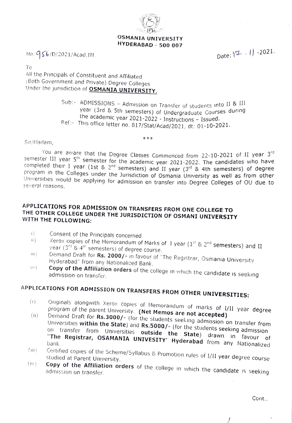

### OSMANIA UNIVERSITY **HYDERABAD - 500 007**

 $N$ o:  $956/D/2021/A$ cad.III.<br>Date: $17 - 1$ .

To

All the Principals of Constituent and Affiliated<br>(Both Government and Private) Degree Colleges Under the jurisdiction of **OSMANIA UNIVERSITY.** 

> Sub: ADMISSIONS - Admission on Transfer of students into II & III<br>year (3rd & Sth semesters) of Undergraduate Courses during<br>the academic year 2021-2022 - Instructions - Issued. Ref:- This office letter no. 817/Stat/Acad/2021, dt: 01-10-2021.

Sir/Madam,

You are aware that the Degree Classes Commenced from 22-10-2021 of II year  $3^{rd}$  semester III year  $5^{th}$  semester for the academic year 2021-2022. The candidates who have Completed their I year (1st & 2nd semesters) and II year (3rd & 4th semesters) of degree program in the Colleges under the Jurisdiction of Osmania University as well as from other Universities would be applying for admission on transfer into Degree Colleges of OU due to

\*\*\*

## APPLICATIONS FOR ADMISSION ON TRANSFERS FROM ONE COLLEGE TO WITH THE FOLLOWING: THE OTHER COLLEGE UNDER THE JURISDICTION OF OSMANI UNIVERSITY

- Consent of the Principals concerned i)
- Xerox copies of the Memorandum of Marks of I year ( $1^{\text{st}}$  &  $2^{\text{nd}}$  semesters) and II year ( $3^{\text{rd}}$  &  $4^{\text{th}}$  semesters) of degree course.<br>Demand Draft for **Rs. 2000/-** in favour of "The Registrar, Osmania Univer  $\{ij\}$  $iii)$
- Hyderabad" from any Nationalized Bank.
- Copy of the Affiliation orders of the college in which the candidate is seeking IV) admission on transfer.

- APPLICATIONS FOR ADMISSION ON TRANSFERS FROM OTHER UNIVERSITIES:<br>(i) Originals alongwith Xerox copies of Memorandum of marks of I/II year degree (1)
	- program of the parent University. (Net Memos are not accepted)<br>Demand Draft for Rs.3000/- (for the students seeking admission on transfer from<br>Universities within the State) and Rs.5000/- (for the students seeking admissio  $(ii)$ "The Registrar, OSAMANIA UNIVESITY' Hyderabad from any Nationalized
	- $(iii)$ Certified copies of the Scheme/Syllabus & Promotion rules of I/II **year de**gree course<br>studied at Parent University.  $(iv)$
	- Copy of the Affiliation orders of the college in which the candidate is seeking admission on transfer.

Cont.